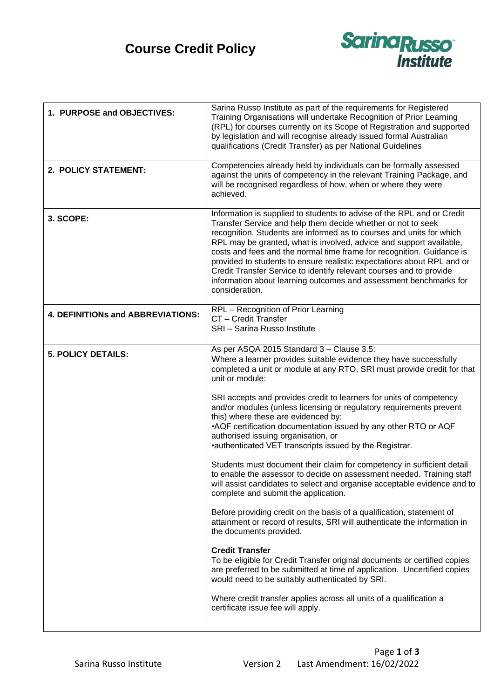## **Course Credit Policy**



| 1. PURPOSE and OBJECTIVES:        | Sarina Russo Institute as part of the requirements for Registered<br>Training Organisations will undertake Recognition of Prior Learning<br>(RPL) for courses currently on its Scope of Registration and supported<br>by legislation and will recognise already issued formal Australian<br>qualifications (Credit Transfer) as per National Guidelines                                                                                                                                                                                                                                                |
|-----------------------------------|--------------------------------------------------------------------------------------------------------------------------------------------------------------------------------------------------------------------------------------------------------------------------------------------------------------------------------------------------------------------------------------------------------------------------------------------------------------------------------------------------------------------------------------------------------------------------------------------------------|
| 2. POLICY STATEMENT:              | Competencies already held by individuals can be formally assessed<br>against the units of competency in the relevant Training Package, and<br>will be recognised regardless of how, when or where they were<br>achieved.                                                                                                                                                                                                                                                                                                                                                                               |
| 3. SCOPE:                         | Information is supplied to students to advise of the RPL and or Credit<br>Transfer Service and help them decide whether or not to seek<br>recognition. Students are informed as to courses and units for which<br>RPL may be granted, what is involved, advice and support available,<br>costs and fees and the normal time frame for recognition. Guidance is<br>provided to students to ensure realistic expectations about RPL and or<br>Credit Transfer Service to identify relevant courses and to provide<br>information about learning outcomes and assessment benchmarks for<br>consideration. |
| 4. DEFINITIONs and ABBREVIATIONS: | RPL - Recognition of Prior Learning<br>CT - Credit Transfer<br>SRI - Sarina Russo Institute                                                                                                                                                                                                                                                                                                                                                                                                                                                                                                            |
| <b>5. POLICY DETAILS:</b>         | As per ASQA 2015 Standard 3 - Clause 3.5:<br>Where a learner provides suitable evidence they have successfully<br>completed a unit or module at any RTO, SRI must provide credit for that<br>unit or module:                                                                                                                                                                                                                                                                                                                                                                                           |
|                                   | SRI accepts and provides credit to learners for units of competency<br>and/or modules (unless licensing or regulatory requirements prevent<br>this) where these are evidenced by:<br>•AQF certification documentation issued by any other RTO or AQF<br>authorised issuing organisation, or<br>•authenticated VET transcripts issued by the Registrar.                                                                                                                                                                                                                                                 |
|                                   | Students must document their claim for competency in sufficient detail<br>to enable the assessor to decide on assessment needed. Training staff<br>will assist candidates to select and organise acceptable evidence and to<br>complete and submit the application.                                                                                                                                                                                                                                                                                                                                    |
|                                   | Before providing credit on the basis of a qualification, statement of<br>attainment or record of results, SRI will authenticate the information in<br>the documents provided.                                                                                                                                                                                                                                                                                                                                                                                                                          |
|                                   | <b>Credit Transfer</b><br>To be eligible for Credit Transfer original documents or certified copies<br>are preferred to be submitted at time of application. Uncertified copies<br>would need to be suitably authenticated by SRI.                                                                                                                                                                                                                                                                                                                                                                     |
|                                   | Where credit transfer applies across all units of a qualification a<br>certificate issue fee will apply.                                                                                                                                                                                                                                                                                                                                                                                                                                                                                               |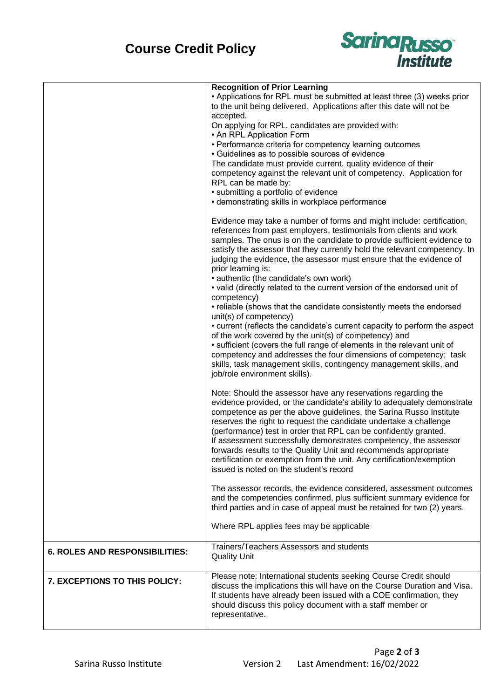

|                                       | <b>Recognition of Prior Learning</b>                                                                                                                                                                                                                                                                                                                                                                                                                                                                                                              |
|---------------------------------------|---------------------------------------------------------------------------------------------------------------------------------------------------------------------------------------------------------------------------------------------------------------------------------------------------------------------------------------------------------------------------------------------------------------------------------------------------------------------------------------------------------------------------------------------------|
|                                       | • Applications for RPL must be submitted at least three (3) weeks prior                                                                                                                                                                                                                                                                                                                                                                                                                                                                           |
|                                       | to the unit being delivered. Applications after this date will not be                                                                                                                                                                                                                                                                                                                                                                                                                                                                             |
|                                       | accepted.                                                                                                                                                                                                                                                                                                                                                                                                                                                                                                                                         |
|                                       | On applying for RPL, candidates are provided with:                                                                                                                                                                                                                                                                                                                                                                                                                                                                                                |
|                                       | • An RPL Application Form                                                                                                                                                                                                                                                                                                                                                                                                                                                                                                                         |
|                                       | • Performance criteria for competency learning outcomes                                                                                                                                                                                                                                                                                                                                                                                                                                                                                           |
|                                       | • Guidelines as to possible sources of evidence                                                                                                                                                                                                                                                                                                                                                                                                                                                                                                   |
|                                       | The candidate must provide current, quality evidence of their                                                                                                                                                                                                                                                                                                                                                                                                                                                                                     |
|                                       | competency against the relevant unit of competency. Application for                                                                                                                                                                                                                                                                                                                                                                                                                                                                               |
|                                       | RPL can be made by:                                                                                                                                                                                                                                                                                                                                                                                                                                                                                                                               |
|                                       | • submitting a portfolio of evidence                                                                                                                                                                                                                                                                                                                                                                                                                                                                                                              |
|                                       | • demonstrating skills in workplace performance                                                                                                                                                                                                                                                                                                                                                                                                                                                                                                   |
|                                       |                                                                                                                                                                                                                                                                                                                                                                                                                                                                                                                                                   |
|                                       | Evidence may take a number of forms and might include: certification,<br>references from past employers, testimonials from clients and work<br>samples. The onus is on the candidate to provide sufficient evidence to<br>satisfy the assessor that they currently hold the relevant competency. In<br>judging the evidence, the assessor must ensure that the evidence of                                                                                                                                                                        |
|                                       | prior learning is:                                                                                                                                                                                                                                                                                                                                                                                                                                                                                                                                |
|                                       | • authentic (the candidate's own work)                                                                                                                                                                                                                                                                                                                                                                                                                                                                                                            |
|                                       | • valid (directly related to the current version of the endorsed unit of                                                                                                                                                                                                                                                                                                                                                                                                                                                                          |
|                                       | competency)                                                                                                                                                                                                                                                                                                                                                                                                                                                                                                                                       |
|                                       | • reliable (shows that the candidate consistently meets the endorsed                                                                                                                                                                                                                                                                                                                                                                                                                                                                              |
|                                       | unit(s) of competency)                                                                                                                                                                                                                                                                                                                                                                                                                                                                                                                            |
|                                       | • current (reflects the candidate's current capacity to perform the aspect                                                                                                                                                                                                                                                                                                                                                                                                                                                                        |
|                                       | of the work covered by the unit(s) of competency) and                                                                                                                                                                                                                                                                                                                                                                                                                                                                                             |
|                                       | • sufficient (covers the full range of elements in the relevant unit of                                                                                                                                                                                                                                                                                                                                                                                                                                                                           |
|                                       | competency and addresses the four dimensions of competency; task                                                                                                                                                                                                                                                                                                                                                                                                                                                                                  |
|                                       | skills, task management skills, contingency management skills, and                                                                                                                                                                                                                                                                                                                                                                                                                                                                                |
|                                       | job/role environment skills).                                                                                                                                                                                                                                                                                                                                                                                                                                                                                                                     |
|                                       | Note: Should the assessor have any reservations regarding the                                                                                                                                                                                                                                                                                                                                                                                                                                                                                     |
|                                       | evidence provided, or the candidate's ability to adequately demonstrate<br>competence as per the above guidelines, the Sarina Russo Institute<br>reserves the right to request the candidate undertake a challenge<br>(performance) test in order that RPL can be confidently granted.<br>If assessment successfully demonstrates competency, the assessor<br>forwards results to the Quality Unit and recommends appropriate<br>certification or exemption from the unit. Any certification/exemption<br>issued is noted on the student's record |
|                                       | The assessor records, the evidence considered, assessment outcomes                                                                                                                                                                                                                                                                                                                                                                                                                                                                                |
|                                       | and the competencies confirmed, plus sufficient summary evidence for<br>third parties and in case of appeal must be retained for two (2) years.                                                                                                                                                                                                                                                                                                                                                                                                   |
|                                       | Where RPL applies fees may be applicable                                                                                                                                                                                                                                                                                                                                                                                                                                                                                                          |
| <b>6. ROLES AND RESPONSIBILITIES:</b> | Trainers/Teachers Assessors and students<br><b>Quality Unit</b>                                                                                                                                                                                                                                                                                                                                                                                                                                                                                   |
| 7. EXCEPTIONS TO THIS POLICY:         | Please note: International students seeking Course Credit should<br>discuss the implications this will have on the Course Duration and Visa.<br>If students have already been issued with a COE confirmation, they<br>should discuss this policy document with a staff member or<br>representative.                                                                                                                                                                                                                                               |